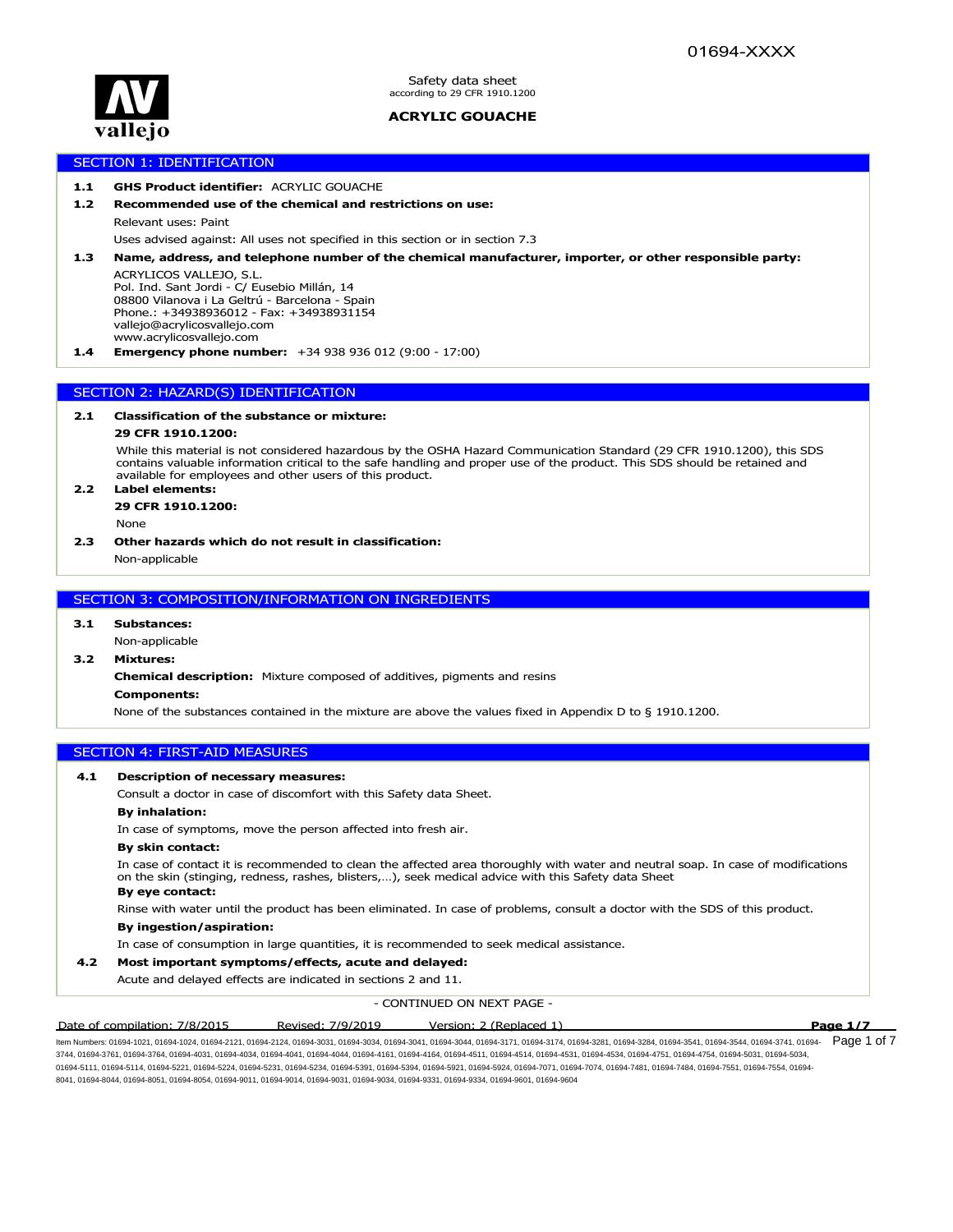

 $\sqrt{P^2 + P^2}$ Safety data sheet according to 29 CFR 1910.1200

# **ACRYLIC GOUACHE**

# SECTION 1: IDENTIFICATION

## **1.1 GHS Product identifier:** ACRYLIC GOUACHE

## **1.2 Recommended use of the chemical and restrictions on use:**

Relevant uses: Paint

Uses advised against: All uses not specified in this section or in section 7.3

**1.3 Name, address, and telephone number of the chemical manufacturer, importer, or other responsible party:**

ACRYLICOS VALLEJO, S.L. Pol. Ind. Sant Jordi - C/ Eusebio Millán, 14 08800 Vilanova i La Geltrú - Barcelona - Spain Phone.: +34938936012 - Fax: +34938931154 vallejo@acrylicosvallejo.com www.acrylicosvallejo.com

**1.4 Emergency phone number:** +34 938 936 012 (9:00 - 17:00)

# SECTION 2: HAZARD(S) IDENTIFICATION

## **2.1 Classification of the substance or mixture:**

#### **29 CFR 1910.1200:**

While this material is not considered hazardous by the OSHA Hazard Communication Standard (29 CFR 1910.1200), this SDS contains valuable information critical to the safe handling and proper use of the product. This SDS should be retained and available for employees and other users of this product.

## **2.2 Label elements: 29 CFR 1910.1200:**

None

#### **2.3 Other hazards which do not result in classification:**

Non-applicable

## SECTION 3: COMPOSITION/INFORMATION ON INGREDIENTS

## **3.1 Substances:**

# Non-applicable

**3.2 Mixtures:**

**Chemical description:** Mixture composed of additives, pigments and resins

### **Components:**

None of the substances contained in the mixture are above the values fixed in Appendix D to § 1910.1200.

## SECTION 4: FIRST-AID MEASURES

## **4.1 Description of necessary measures:**

Consult a doctor in case of discomfort with this Safety data Sheet.

#### **By inhalation:**

In case of symptoms, move the person affected into fresh air.

#### **By skin contact:**

In case of contact it is recommended to clean the affected area thoroughly with water and neutral soap. In case of modifications on the skin (stinging, redness, rashes, blisters,…), seek medical advice with this Safety data Sheet

#### **By eye contact:**

Rinse with water until the product has been eliminated. In case of problems, consult a doctor with the SDS of this product. **By ingestion/aspiration:**

In case of consumption in large quantities, it is recommended to seek medical assistance.

## **4.2 Most important symptoms/effects, acute and delayed:**

Acute and delayed effects are indicated in sections 2 and 11.

- CONTINUED ON NEXT PAGE -

Date of compilation: 7/8/2015 Revised: 7/9/2019 Version: 2 (Replaced 1) **Page 1/7**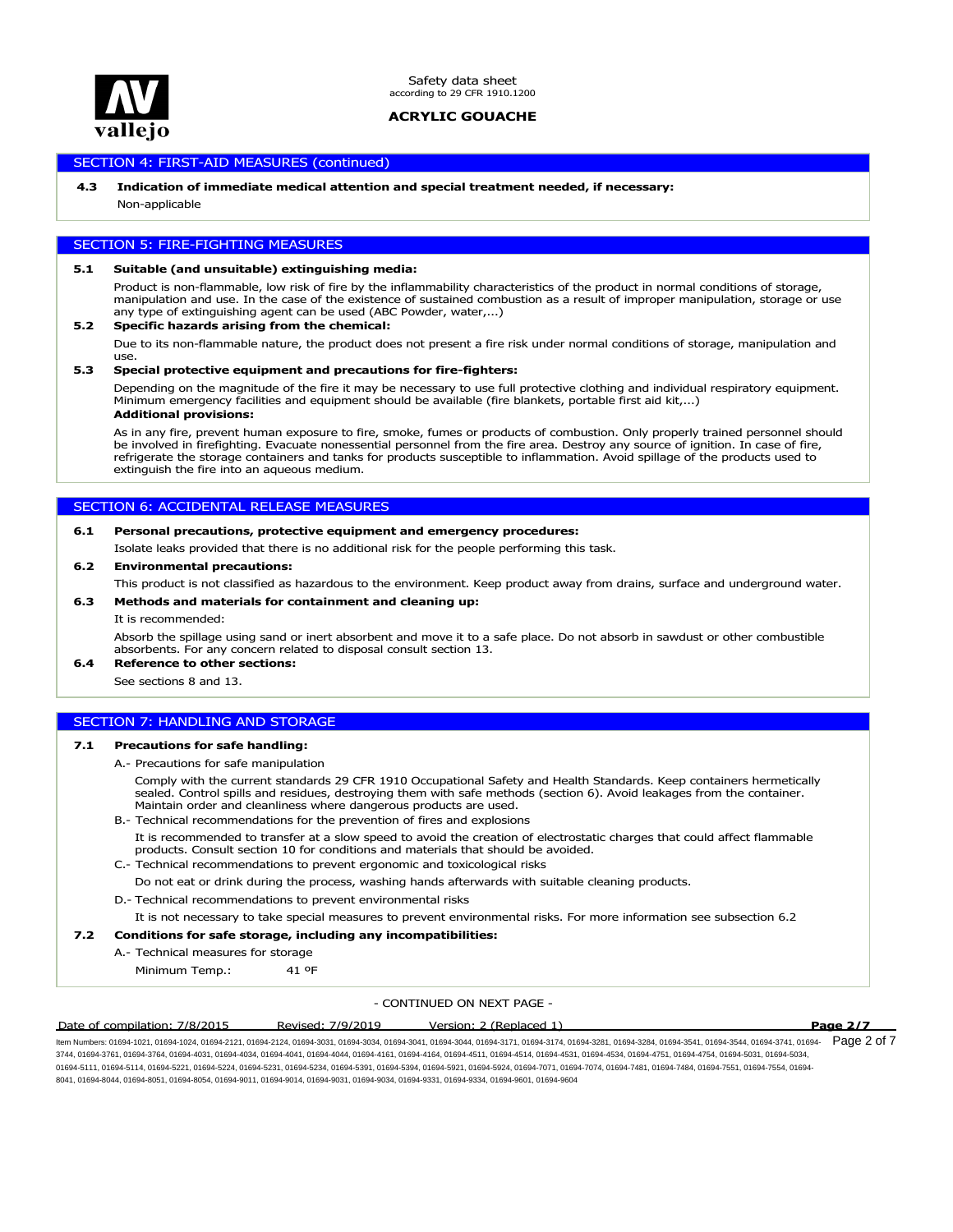

## SECTION 4: FIRST-AID MEASURES (continued)

## **4.3 Indication of immediate medical attention and special treatment needed, if necessary:**

Non-applicable

## SECTION 5: FIRE-FIGHTING MEASURES

#### **5.1 Suitable (and unsuitable) extinguishing media:**

Product is non-flammable, low risk of fire by the inflammability characteristics of the product in normal conditions of storage, manipulation and use. In the case of the existence of sustained combustion as a result of improper manipulation, storage or use any type of extinguishing agent can be used (ABC Powder, water,...)

## **5.2 Specific hazards arising from the chemical:**

Due to its non-flammable nature, the product does not present a fire risk under normal conditions of storage, manipulation and use.

#### **5.3 Special protective equipment and precautions for fire-fighters:**

Depending on the magnitude of the fire it may be necessary to use full protective clothing and individual respiratory equipment. Minimum emergency facilities and equipment should be available (fire blankets, portable first aid kit,...) **Additional provisions:**

As in any fire, prevent human exposure to fire, smoke, fumes or products of combustion. Only properly trained personnel should be involved in firefighting. Evacuate nonessential personnel from the fire area. Destroy any source of ignition. In case of fire, refrigerate the storage containers and tanks for products susceptible to inflammation. Avoid spillage of the products used to extinguish the fire into an aqueous medium.

## SECTION 6: ACCIDENTAL RELEASE MEASURES

## **6.1 Personal precautions, protective equipment and emergency procedures:**

Isolate leaks provided that there is no additional risk for the people performing this task.

### **6.2 Environmental precautions:**

This product is not classified as hazardous to the environment. Keep product away from drains, surface and underground water.

#### **6.3 Methods and materials for containment and cleaning up:**

#### It is recommended:

Absorb the spillage using sand or inert absorbent and move it to a safe place. Do not absorb in sawdust or other combustible absorbents. For any concern related to disposal consult section 13.

**6.4 Reference to other sections:**

See sections 8 and 13.

# SECTION 7: HANDLING AND STORAGE

#### **7.1 Precautions for safe handling:**

- A.- Precautions for safe manipulation
	- Comply with the current standards 29 CFR 1910 Occupational Safety and Health Standards. Keep containers hermetically sealed. Control spills and residues, destroying them with safe methods (section 6). Avoid leakages from the container. Maintain order and cleanliness where dangerous products are used.
- B.- Technical recommendations for the prevention of fires and explosions
	- It is recommended to transfer at a slow speed to avoid the creation of electrostatic charges that could affect flammable products. Consult section 10 for conditions and materials that should be avoided.
- C.- Technical recommendations to prevent ergonomic and toxicological risks
- Do not eat or drink during the process, washing hands afterwards with suitable cleaning products.
- D.- Technical recommendations to prevent environmental risks
- It is not necessary to take special measures to prevent environmental risks. For more information see subsection 6.2

#### **7.2 Conditions for safe storage, including any incompatibilities:**

A.- Technical measures for storage

Minimum Temp.: 41 ºF

#### - CONTINUED ON NEXT PAGE -

#### Date of compilation: 7/8/2015 Revised: 7/9/2019 Version: 2 (Replaced 1) **Page 2/7**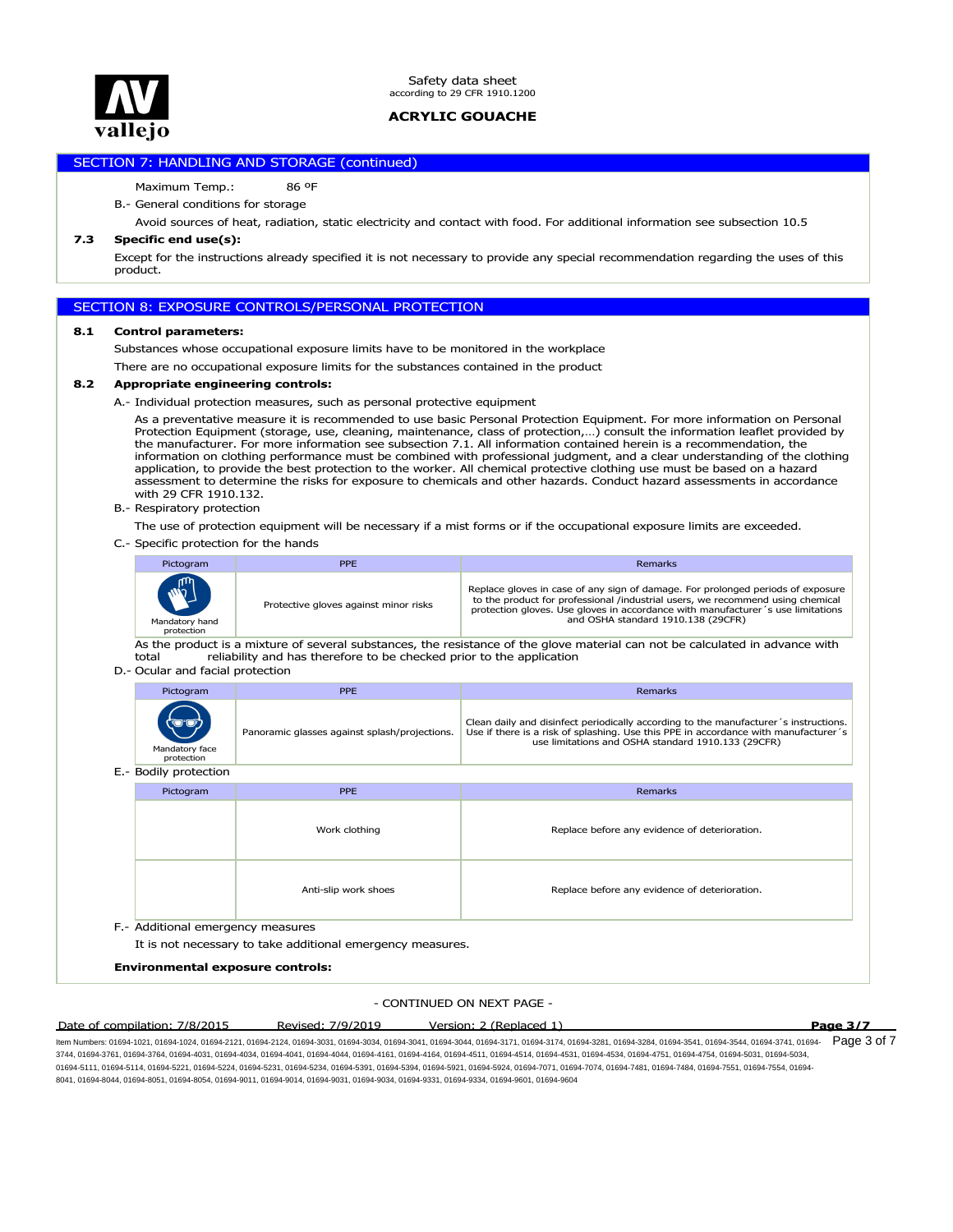

# SECTION 7: HANDLING AND STORAGE (continued)

## Maximum Temp.: 86 ºF

### B.- General conditions for storage

Avoid sources of heat, radiation, static electricity and contact with food. For additional information see subsection 10.5

### **7.3 Specific end use(s):**

Except for the instructions already specified it is not necessary to provide any special recommendation regarding the uses of this product.

## SECTION 8: EXPOSURE CONTROLS/PERSONAL PROTECTION

#### **8.1 Control parameters:**

Substances whose occupational exposure limits have to be monitored in the workplace

There are no occupational exposure limits for the substances contained in the product

## **8.2 Appropriate engineering controls:**

A.- Individual protection measures, such as personal protective equipment

As a preventative measure it is recommended to use basic Personal Protection Equipment. For more information on Personal Protection Equipment (storage, use, cleaning, maintenance, class of protection,...) consult the information leaflet provided by<br>the manufacturer. For more information see subsection 7.1. All information contained herein is information on clothing performance must be combined with professional judgment, and a clear understanding of the clothing application, to provide the best protection to the worker. All chemical protective clothing use must be based on a hazard assessment to determine the risks for exposure to chemicals and other hazards. Conduct hazard assessments in accordance with 29 CFR 1910.132.

B.- Respiratory protection

The use of protection equipment will be necessary if a mist forms or if the occupational exposure limits are exceeded.

C.- Specific protection for the hands

| Pictogram                                  | <b>PPE</b>                            | Remarks                                                                                                                                                                                                                                                                                     |
|--------------------------------------------|---------------------------------------|---------------------------------------------------------------------------------------------------------------------------------------------------------------------------------------------------------------------------------------------------------------------------------------------|
| <b>MAN</b><br>Mandatory hand<br>protection | Protective gloves against minor risks | Replace gloves in case of any sign of damage. For prolonged periods of exposure<br>to the product for professional /industrial users, we recommend using chemical<br>protection gloves. Use gloves in accordance with manufacturer 's use limitations<br>and OSHA standard 1910.138 (29CFR) |

As the product is a mixture of several substances, the resistance of the glove material can not be calculated in advance with total reliability and has therefore to be checked prior to the application reliability and has therefore to be checked prior to the application

## D.- Ocular and facial protection

| Pictogram                             | PPE                                           | Remarks                                                                                                                                                                                                                           |
|---------------------------------------|-----------------------------------------------|-----------------------------------------------------------------------------------------------------------------------------------------------------------------------------------------------------------------------------------|
| (ම*ම)<br>Mandatory face<br>protection | Panoramic glasses against splash/projections. | Clean daily and disinfect periodically according to the manufacturer's instructions.<br>Use if there is a risk of splashing. Use this PPE in accordance with manufacturer's<br>use limitations and OSHA standard 1910.133 (29CFR) |

#### E.- Bodily protection

| Pictogram                                                                                      | PPE                  | Remarks                                       |  |  |  |
|------------------------------------------------------------------------------------------------|----------------------|-----------------------------------------------|--|--|--|
|                                                                                                | Work clothing        | Replace before any evidence of deterioration. |  |  |  |
|                                                                                                | Anti-slip work shoes | Replace before any evidence of deterioration. |  |  |  |
| F.- Additional emergency measures<br>It is not percepany to take additional emergency measures |                      |                                               |  |  |  |

It is not necessary to take additional emergency measures.

#### **Environmental exposure controls:**

#### - CONTINUED ON NEXT PAGE -

#### Date of compilation: 7/8/2015 Revised: 7/9/2019 Version: 2 (Replaced 1) **Page 3/7**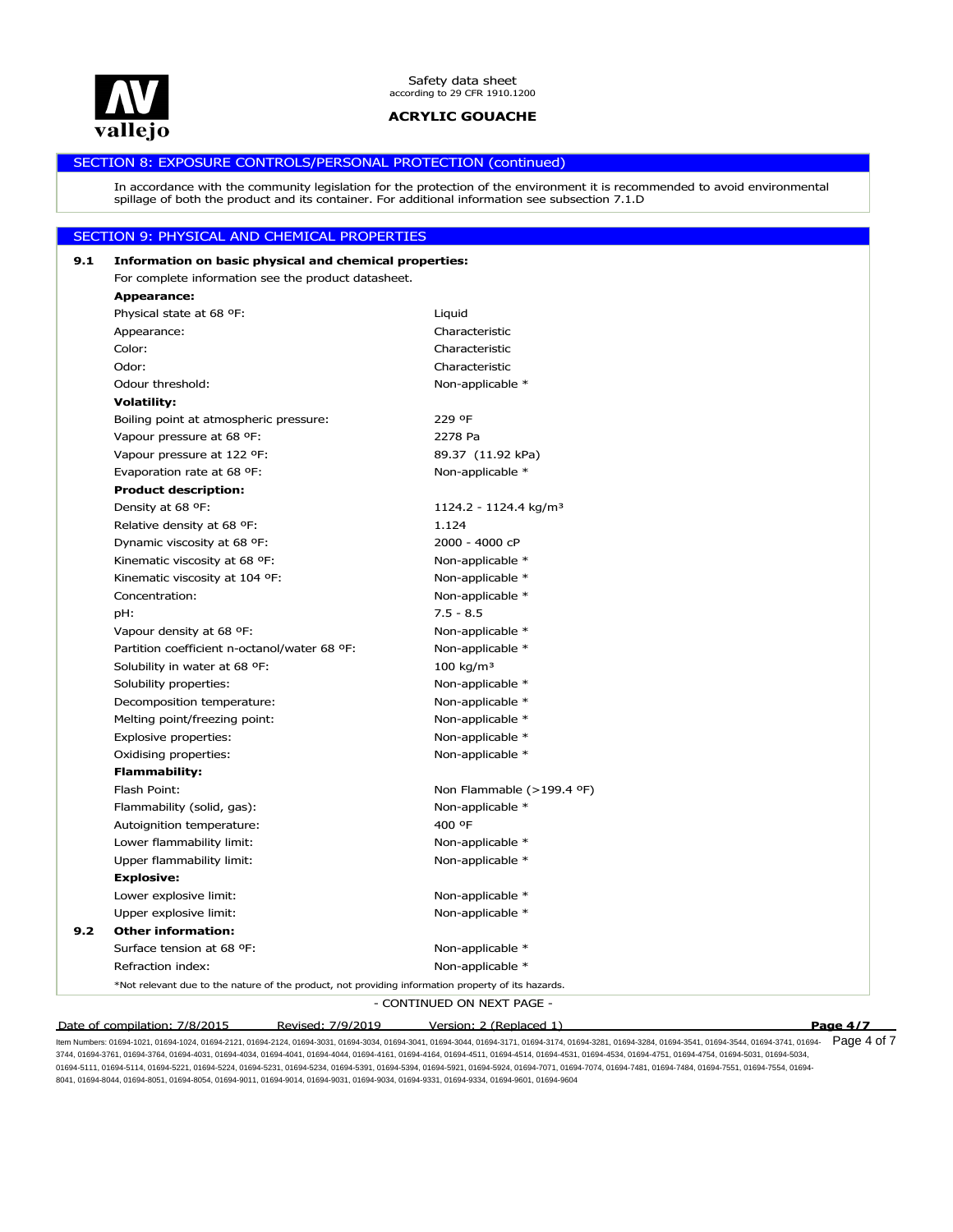

# SECTION 8: EXPOSURE CONTROLS/PERSONAL PROTECTION (continued)

In accordance with the community legislation for the protection of the environment it is recommended to avoid environmental spillage of both the product and its container. For additional information see subsection 7.1.D

# SECTION 9: PHYSICAL AND CHEMICAL PROPERTIES

| 9.1 | Information on basic physical and chemical properties:                                             |                                   |          |
|-----|----------------------------------------------------------------------------------------------------|-----------------------------------|----------|
|     | For complete information see the product datasheet.                                                |                                   |          |
|     | Appearance:                                                                                        |                                   |          |
|     | Physical state at 68 °F:                                                                           | Liquid                            |          |
|     | Appearance:                                                                                        | Characteristic                    |          |
|     | Color:                                                                                             | Characteristic                    |          |
|     | Odor:                                                                                              | Characteristic                    |          |
|     | Odour threshold:                                                                                   | Non-applicable *                  |          |
|     | <b>Volatility:</b>                                                                                 |                                   |          |
|     | Boiling point at atmospheric pressure:                                                             | 229 ºF                            |          |
|     | Vapour pressure at 68 °F:                                                                          | 2278 Pa                           |          |
|     | Vapour pressure at 122 °F:                                                                         | 89.37 (11.92 kPa)                 |          |
|     | Evaporation rate at 68 °F:                                                                         | Non-applicable *                  |          |
|     | <b>Product description:</b>                                                                        |                                   |          |
|     | Density at 68 °F:                                                                                  | 1124.2 - 1124.4 kg/m <sup>3</sup> |          |
|     | Relative density at 68 °F:                                                                         | 1.124                             |          |
|     | Dynamic viscosity at 68 °F:                                                                        | 2000 - 4000 cP                    |          |
|     | Kinematic viscosity at 68 °F:                                                                      | Non-applicable *                  |          |
|     | Kinematic viscosity at 104 °F:                                                                     | Non-applicable *                  |          |
|     | Concentration:                                                                                     | Non-applicable *                  |          |
|     | pH:                                                                                                | $7.5 - 8.5$                       |          |
|     | Vapour density at 68 °F:                                                                           | Non-applicable *                  |          |
|     | Partition coefficient n-octanol/water 68 °F:                                                       | Non-applicable *                  |          |
|     | Solubility in water at 68 °F:                                                                      | $100$ kg/m <sup>3</sup>           |          |
|     | Solubility properties:                                                                             | Non-applicable *                  |          |
|     | Decomposition temperature:                                                                         | Non-applicable *                  |          |
|     | Melting point/freezing point:                                                                      | Non-applicable *                  |          |
|     | Explosive properties:                                                                              | Non-applicable *                  |          |
|     | Oxidising properties:                                                                              | Non-applicable *                  |          |
|     | <b>Flammability:</b>                                                                               |                                   |          |
|     | Flash Point:                                                                                       | Non Flammable (>199.4 °F)         |          |
|     | Flammability (solid, gas):                                                                         | Non-applicable *                  |          |
|     | Autoignition temperature:                                                                          | 400 °F                            |          |
|     | Lower flammability limit:                                                                          | Non-applicable *                  |          |
|     | Upper flammability limit:                                                                          | Non-applicable *                  |          |
|     | <b>Explosive:</b>                                                                                  |                                   |          |
|     | Lower explosive limit:                                                                             | Non-applicable *                  |          |
|     | Upper explosive limit:                                                                             | Non-applicable *                  |          |
| 9.2 | <b>Other information:</b>                                                                          |                                   |          |
|     | Surface tension at 68 °F:                                                                          | Non-applicable *                  |          |
|     | Refraction index:                                                                                  | Non-applicable *                  |          |
|     | *Not relevant due to the nature of the product, not providing information property of its hazards. |                                   |          |
|     |                                                                                                    | - CONTINUED ON NEXT PAGE -        |          |
|     | Revised: 7/9/2019<br>Date of compilation: 7/8/2015                                                 | Version: 2 (Replaced 1)           | Page 4/7 |
|     |                                                                                                    |                                   |          |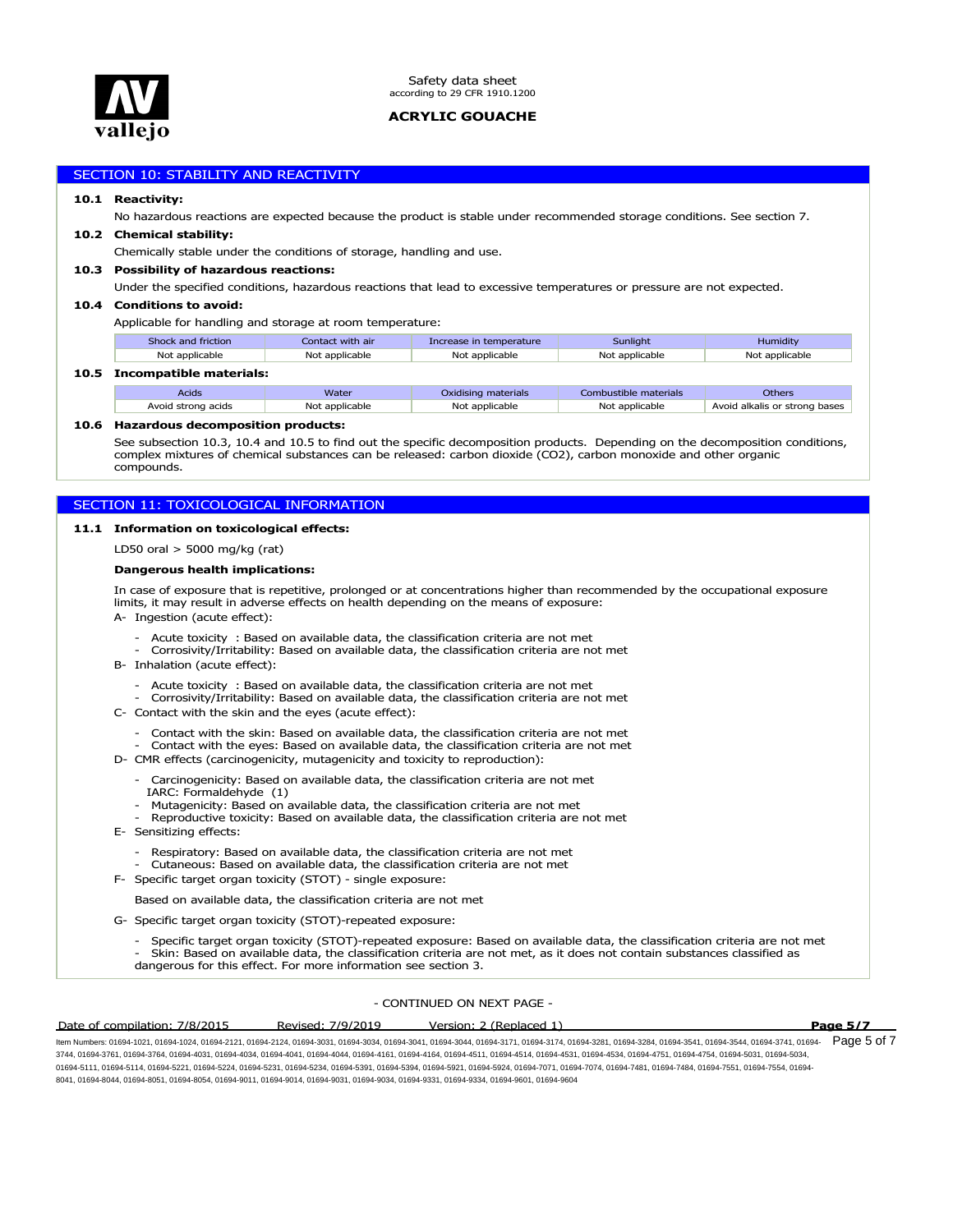

## SECTION 10: STABILITY AND REACTIVITY

#### **10.1 Reactivity:**

**10.5 Incompatible materials:**

No hazardous reactions are expected because the product is stable under recommended storage conditions. See section 7.

#### **10.2 Chemical stability:**

Chemically stable under the conditions of storage, handling and use.

## **10.3 Possibility of hazardous reactions:**

Under the specified conditions, hazardous reactions that lead to excessive temperatures or pressure are not expected.

## **10.4 Conditions to avoid:**

Applicable for handling and storage at room temperature:

| Shock and friction      | Contact with air | Increase in temperature | Sunlight              | Humidity                      |  |  |
|-------------------------|------------------|-------------------------|-----------------------|-------------------------------|--|--|
| Not applicable          | Not applicable   | Not applicable          | Not applicable        | Not applicable                |  |  |
| Incompatible materials: |                  |                         |                       |                               |  |  |
| <b>Acids</b>            | Water            | Oxidising materials     | Combustible materials | <b>Others</b>                 |  |  |
| Avoid strong acids      | Not applicable   | Not applicable          | Not applicable        | Avoid alkalis or strong bases |  |  |

#### **10.6 Hazardous decomposition products:**

See subsection 10.3, 10.4 and 10.5 to find out the specific decomposition products. Depending on the decomposition conditions, complex mixtures of chemical substances can be released: carbon dioxide (CO2), carbon monoxide and other organic compounds.

## SECTION 11: TOXICOLOGICAL INFORMATION

#### **11.1 Information on toxicological effects:**

LD50 oral > 5000 mg/kg (rat)

## **Dangerous health implications:**

In case of exposure that is repetitive, prolonged or at concentrations higher than recommended by the occupational exposure limits, it may result in adverse effects on health depending on the means of exposure:

A- Ingestion (acute effect):

- Acute toxicity : Based on available data, the classification criteria are not met
- Corrosivity/Irritability: Based on available data, the classification criteria are not met
- B- Inhalation (acute effect):
	- Acute toxicity : Based on available data, the classification criteria are not met
- Corrosivity/Irritability: Based on available data, the classification criteria are not met C- Contact with the skin and the eyes (acute effect):
	- Contact with the skin: Based on available data, the classification criteria are not met
	- Contact with the eyes: Based on available data, the classification criteria are not met
- D- CMR effects (carcinogenicity, mutagenicity and toxicity to reproduction):
	- Carcinogenicity: Based on available data, the classification criteria are not met IARC: Formaldehyde (1)
	- Mutagenicity: Based on available data, the classification criteria are not met
	- Reproductive toxicity: Based on available data, the classification criteria are not met
- E- Sensitizing effects:
	- Respiratory: Based on available data, the classification criteria are not met
	- Cutaneous: Based on available data, the classification criteria are not met
- F- Specific target organ toxicity (STOT) single exposure:

Based on available data, the classification criteria are not met

G- Specific target organ toxicity (STOT)-repeated exposure:

- Specific target organ toxicity (STOT)-repeated exposure: Based on available data, the classification criteria are not met - Skin: Based on available data, the classification criteria are not met, as it does not contain substances classified as dangerous for this effect. For more information see section 3.

## - CONTINUED ON NEXT PAGE -

#### Date of compilation: 7/8/2015 Revised: 7/9/2019 Version: 2 (Replaced 1) **Page 5/7**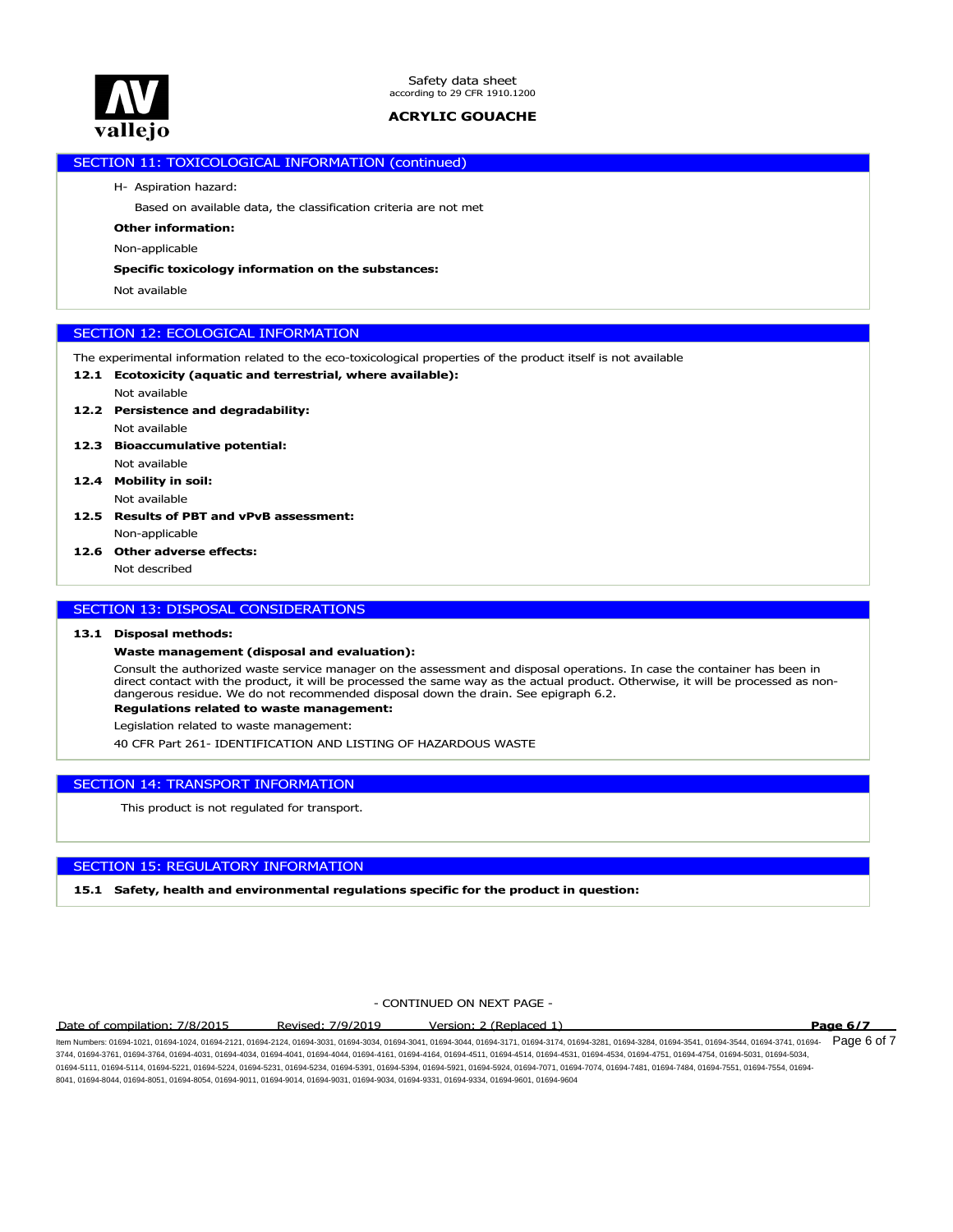

# SECTION 11: TOXICOLOGICAL INFORMATION (continued)

H- Aspiration hazard:

Based on available data, the classification criteria are not met

**Other information:**

Non-applicable

### **Specific toxicology information on the substances:**

Not available

# SECTION 12: ECOLOGICAL INFORMATION

- The experimental information related to the eco-toxicological properties of the product itself is not available
- **12.1 Ecotoxicity (aquatic and terrestrial, where available):**
- Not available **12.2 Persistence and degradability:**
- Not available
- **12.3 Bioaccumulative potential:** Not available
- **12.4 Mobility in soil:** Not available
- **12.5 Results of PBT and vPvB assessment:** Non-applicable
- **12.6 Other adverse effects:**

Not described

# SECTION 13: DISPOSAL CONSIDERATIONS

## **13.1 Disposal methods:**

## **Waste management (disposal and evaluation):**

Consult the authorized waste service manager on the assessment and disposal operations. In case the container has been in direct contact with the product, it will be processed the same way as the actual product. Otherwise, it will be processed as nondangerous residue. We do not recommended disposal down the drain. See epigraph 6.2.

## **Regulations related to waste management:**

Legislation related to waste management:

40 CFR Part 261- IDENTIFICATION AND LISTING OF HAZARDOUS WASTE

## SECTION 14: TRANSPORT INFORMATION

This product is not regulated for transport.

# SECTION 15: REGULATORY INFORMATION

**15.1 Safety, health and environmental regulations specific for the product in question:**

# - CONTINUED ON NEXT PAGE -

### Date of compilation: 7/8/2015 Revised: 7/9/2019 Version: 2 (Replaced 1) **Page 6/7**